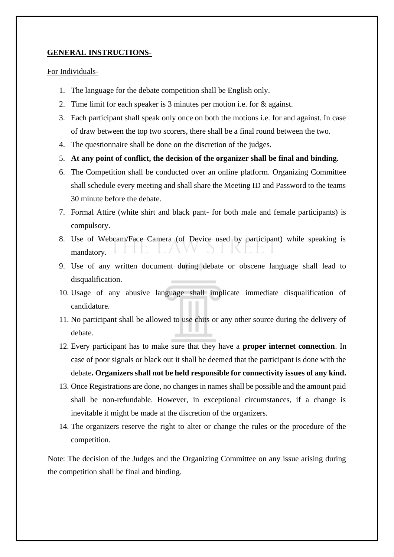## **GENERAL INSTRUCTIONS-**

### For Individuals-

- 1. The language for the debate competition shall be English only.
- 2. Time limit for each speaker is 3 minutes per motion i.e. for & against.
- 3. Each participant shall speak only once on both the motions i.e. for and against. In case of draw between the top two scorers, there shall be a final round between the two.
- 4. The questionnaire shall be done on the discretion of the judges.
- 5. **At any point of conflict, the decision of the organizer shall be final and binding.**
- 6. The Competition shall be conducted over an online platform. Organizing Committee shall schedule every meeting and shall share the Meeting ID and Password to the teams 30 minute before the debate.
- 7. Formal Attire (white shirt and black pant- for both male and female participants) is compulsory.
- 8. Use of Webcam/Face Camera (of Device used by participant) while speaking is mandatory.
- 9. Use of any written document during debate or obscene language shall lead to disqualification.
- 10. Usage of any abusive language shall implicate immediate disqualification of candidature.
- 11. No participant shall be allowed to use chits or any other source during the delivery of debate.
- 12. Every participant has to make sure that they have a **proper internet connection**. In case of poor signals or black out it shall be deemed that the participant is done with the debate**. Organizers shall not be held responsible for connectivity issues of any kind.**
- 13. Once Registrations are done, no changes in names shall be possible and the amount paid shall be non-refundable. However, in exceptional circumstances, if a change is inevitable it might be made at the discretion of the organizers.
- 14. The organizers reserve the right to alter or change the rules or the procedure of the competition.

Note: The decision of the Judges and the Organizing Committee on any issue arising during the competition shall be final and binding.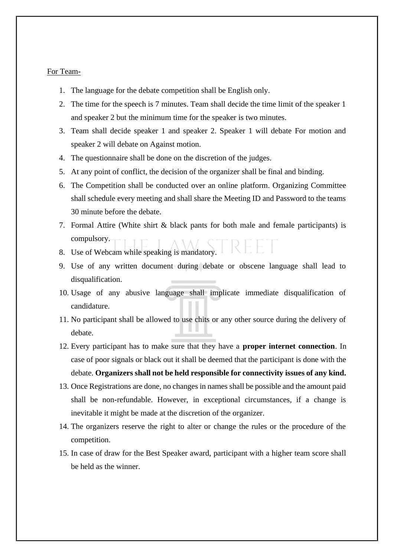#### For Team-

- 1. The language for the debate competition shall be English only.
- 2. The time for the speech is 7 minutes. Team shall decide the time limit of the speaker 1 and speaker 2 but the minimum time for the speaker is two minutes.
- 3. Team shall decide speaker 1 and speaker 2. Speaker 1 will debate For motion and speaker 2 will debate on Against motion.
- 4. The questionnaire shall be done on the discretion of the judges.
- 5. At any point of conflict, the decision of the organizer shall be final and binding.
- 6. The Competition shall be conducted over an online platform. Organizing Committee shall schedule every meeting and shall share the Meeting ID and Password to the teams 30 minute before the debate.
- 7. Formal Attire (White shirt & black pants for both male and female participants) is compulsory.
- 8. Use of Webcam while speaking is mandatory.
- 9. Use of any written document during debate or obscene language shall lead to disqualification.
- 10. Usage of any abusive language shall implicate immediate disqualification of candidature.
- 11. No participant shall be allowed to use chits or any other source during the delivery of debate.
- 12. Every participant has to make sure that they have a **proper internet connection**. In case of poor signals or black out it shall be deemed that the participant is done with the debate. **Organizers shall not be held responsible for connectivity issues of any kind.**
- 13. Once Registrations are done, no changes in names shall be possible and the amount paid shall be non-refundable. However, in exceptional circumstances, if a change is inevitable it might be made at the discretion of the organizer.
- 14. The organizers reserve the right to alter or change the rules or the procedure of the competition.
- 15. In case of draw for the Best Speaker award, participant with a higher team score shall be held as the winner.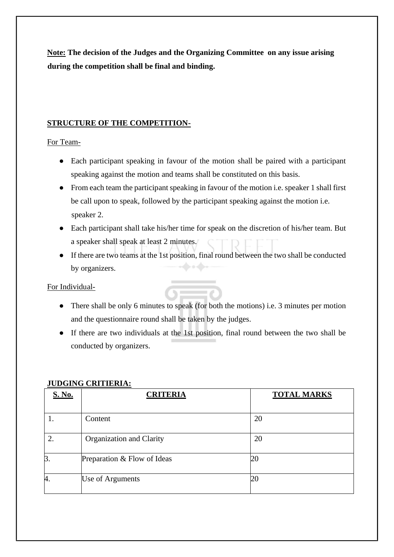**Note: The decision of the Judges and the Organizing Committee on any issue arising during the competition shall be final and binding.** 

# **STRUCTURE OF THE COMPETITION-**

For Team-

- Each participant speaking in favour of the motion shall be paired with a participant speaking against the motion and teams shall be constituted on this basis.
- From each team the participant speaking in favour of the motion i.e. speaker 1 shall first be call upon to speak, followed by the participant speaking against the motion i.e. speaker 2.
- Each participant shall take his/her time for speak on the discretion of his/her team. But a speaker shall speak at least 2 minutes.
- If there are two teams at the 1st position, final round between the two shall be conducted by organizers.

For Individual-

- There shall be only 6 minutes to speak (for both the motions) i.e. 3 minutes per motion and the questionnaire round shall be taken by the judges.
- If there are two individuals at the 1st position, final round between the two shall be conducted by organizers.

| <b>S. No.</b> | <b>CRITERIA</b>             | <b>TOTAL MARKS</b> |
|---------------|-----------------------------|--------------------|
|               |                             |                    |
|               | Content                     | 20                 |
| 2.            | Organization and Clarity    | 20                 |
| 3.            | Preparation & Flow of Ideas | 20                 |
| 4.            | Use of Arguments            | 20                 |

# **JUDGING CRITIERIA:**